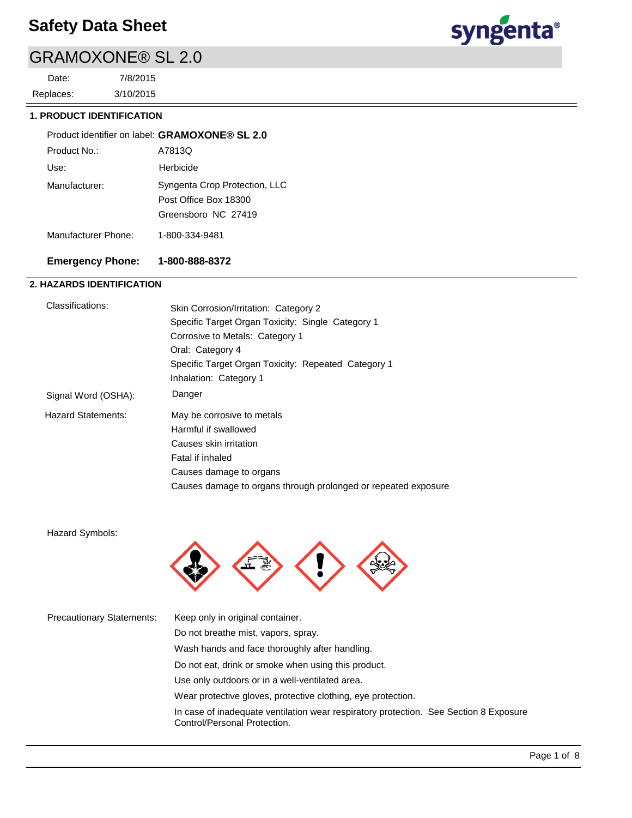# GRAMOXONE® SL 2.0

3/10/2015 7/8/2015 Replaces: Date:



# **1. PRODUCT IDENTIFICATION**

|                     | Product identifier on label: GRAMOXONE® SL 2.0                                |
|---------------------|-------------------------------------------------------------------------------|
| Product No.:        | A7813Q                                                                        |
| Use:                | Herbicide                                                                     |
| Manufacturer:       | Syngenta Crop Protection, LLC<br>Post Office Box 18300<br>Greensboro NC 27419 |
| Manufacturer Phone: | 1-800-334-9481                                                                |

# **Emergency Phone: 1-800-888-8372**

# **2. HAZARDS IDENTIFICATION**

| Classifications:          | Skin Corrosion/Irritation: Category 2<br>Specific Target Organ Toxicity: Single Category 1<br>Corrosive to Metals: Category 1<br>Oral: Category 4<br>Specific Target Organ Toxicity: Repeated Category 1<br>Inhalation: Category 1 |
|---------------------------|------------------------------------------------------------------------------------------------------------------------------------------------------------------------------------------------------------------------------------|
| Signal Word (OSHA):       | Danger                                                                                                                                                                                                                             |
| <b>Hazard Statements:</b> | May be corrosive to metals<br>Harmful if swallowed<br>Causes skin irritation<br>Fatal if inhaled<br>Causes damage to organs<br>Causes damage to organs through prolonged or repeated exposure                                      |

Hazard Symbols:



| <b>Precautionary Statements:</b> | Keep only in original container.                                                                                      |
|----------------------------------|-----------------------------------------------------------------------------------------------------------------------|
|                                  | Do not breathe mist, vapors, spray.                                                                                   |
|                                  | Wash hands and face thoroughly after handling.                                                                        |
|                                  | Do not eat, drink or smoke when using this product.                                                                   |
|                                  | Use only outdoors or in a well-ventilated area.                                                                       |
|                                  | Wear protective gloves, protective clothing, eye protection.                                                          |
|                                  | In case of inadequate ventilation wear respiratory protection. See Section 8 Exposure<br>Control/Personal Protection. |
|                                  |                                                                                                                       |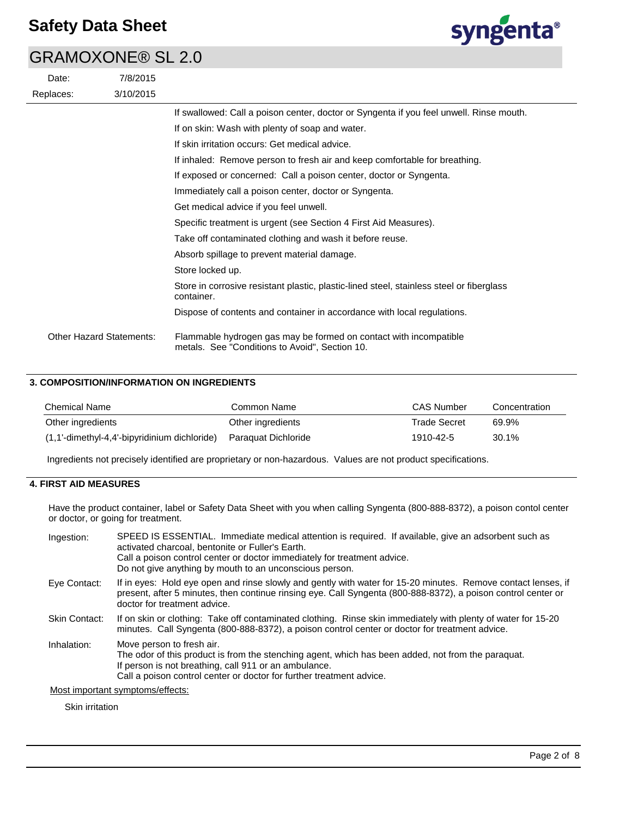# GRAMOXONE® SL 2.0





|                                 | If swallowed: Call a poison center, doctor or Syngenta if you feel unwell. Rinse mouth.                             |
|---------------------------------|---------------------------------------------------------------------------------------------------------------------|
|                                 | If on skin: Wash with plenty of soap and water.                                                                     |
|                                 | If skin irritation occurs: Get medical advice.                                                                      |
|                                 | If inhaled: Remove person to fresh air and keep comfortable for breathing.                                          |
|                                 | If exposed or concerned: Call a poison center, doctor or Syngenta.                                                  |
|                                 | Immediately call a poison center, doctor or Syngenta.                                                               |
|                                 | Get medical advice if you feel unwell.                                                                              |
|                                 | Specific treatment is urgent (see Section 4 First Aid Measures).                                                    |
|                                 | Take off contaminated clothing and wash it before reuse.                                                            |
|                                 | Absorb spillage to prevent material damage.                                                                         |
|                                 | Store locked up.                                                                                                    |
|                                 | Store in corrosive resistant plastic, plastic-lined steel, stainless steel or fiberglass<br>container.              |
|                                 | Dispose of contents and container in accordance with local regulations.                                             |
| <b>Other Hazard Statements:</b> | Flammable hydrogen gas may be formed on contact with incompatible<br>metals. See "Conditions to Avoid", Section 10. |

# **3. COMPOSITION/INFORMATION ON INGREDIENTS**

| Chemical Name                                   | Common Name         | <b>CAS Number</b> | Concentration |
|-------------------------------------------------|---------------------|-------------------|---------------|
| Other ingredients                               | Other ingredients   | Trade Secret      | 69.9%         |
| $(1,1)$ -dimethyl-4,4'-bipyridinium dichloride) | Paraguat Dichloride | 1910-42-5         | 30.1%         |

Ingredients not precisely identified are proprietary or non-hazardous. Values are not product specifications.

# **4. FIRST AID MEASURES**

Have the product container, label or Safety Data Sheet with you when calling Syngenta (800-888-8372), a poison contol center or doctor, or going for treatment.

| Ingestion:    | SPEED IS ESSENTIAL. Immediate medical attention is required. If available, give an adsorbent such as<br>activated charcoal, bentonite or Fuller's Earth.<br>Call a poison control center or doctor immediately for treatment advice.<br>Do not give anything by mouth to an unconscious person. |
|---------------|-------------------------------------------------------------------------------------------------------------------------------------------------------------------------------------------------------------------------------------------------------------------------------------------------|
| Eye Contact:  | If in eyes: Hold eye open and rinse slowly and gently with water for 15-20 minutes. Remove contact lenses, if<br>present, after 5 minutes, then continue rinsing eye. Call Syngenta (800-888-8372), a poison control center or<br>doctor for treatment advice.                                  |
| Skin Contact: | If on skin or clothing: Take off contaminated clothing. Rinse skin immediately with plenty of water for 15-20<br>minutes. Call Syngenta (800-888-8372), a poison control center or doctor for treatment advice.                                                                                 |
| Inhalation:   | Move person to fresh air.<br>The odor of this product is from the stenching agent, which has been added, not from the paraquat.<br>If person is not breathing, call 911 or an ambulance.<br>Call a poison control center or doctor for further treatment advice.                                |
|               | Most important symptoms/effects:                                                                                                                                                                                                                                                                |

Skin irritation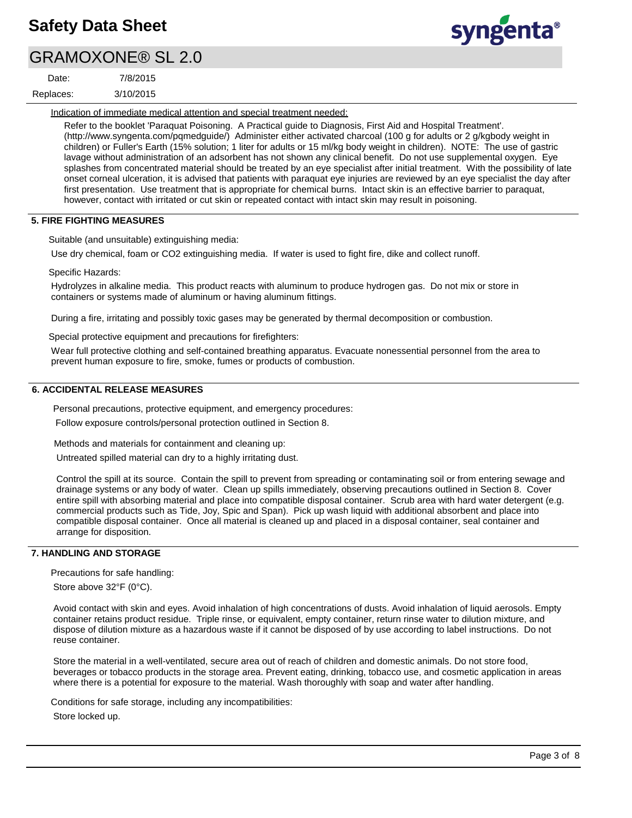# GRAMOXONE® SL 2.0

| Date:     | 7/8/2015  |
|-----------|-----------|
| Replaces: | 3/10/2015 |

syngenta®

Indication of immediate medical attention and special treatment needed:

Refer to the booklet 'Paraquat Poisoning. A Practical guide to Diagnosis, First Aid and Hospital Treatment'. (http://www.syngenta.com/pqmedguide/) Administer either activated charcoal (100 g for adults or 2 g/kgbody weight in children) or Fuller's Earth (15% solution; 1 liter for adults or 15 ml/kg body weight in children). NOTE: The use of gastric lavage without administration of an adsorbent has not shown any clinical benefit. Do not use supplemental oxygen. Eye splashes from concentrated material should be treated by an eve specialist after initial treatment. With the possibility of late onset corneal ulceration, it is advised that patients with paraquat eye injuries are reviewed by an eye specialist the day after first presentation. Use treatment that is appropriate for chemical burns. Intact skin is an effective barrier to paraquat, however, contact with irritated or cut skin or repeated contact with intact skin may result in poisoning.

## **5. FIRE FIGHTING MEASURES**

Suitable (and unsuitable) extinguishing media:

Use dry chemical, foam or CO2 extinguishing media. If water is used to fight fire, dike and collect runoff.

Specific Hazards:

Hydrolyzes in alkaline media. This product reacts with aluminum to produce hydrogen gas. Do not mix or store in containers or systems made of aluminum or having aluminum fittings.

During a fire, irritating and possibly toxic gases may be generated by thermal decomposition or combustion.

Special protective equipment and precautions for firefighters:

Wear full protective clothing and self-contained breathing apparatus. Evacuate nonessential personnel from the area to prevent human exposure to fire, smoke, fumes or products of combustion.

# **6. ACCIDENTAL RELEASE MEASURES**

Personal precautions, protective equipment, and emergency procedures:

Follow exposure controls/personal protection outlined in Section 8.

Methods and materials for containment and cleaning up:

Untreated spilled material can dry to a highly irritating dust.

Control the spill at its source. Contain the spill to prevent from spreading or contaminating soil or from entering sewage and drainage systems or any body of water. Clean up spills immediately, observing precautions outlined in Section 8. Cover entire spill with absorbing material and place into compatible disposal container. Scrub area with hard water detergent (e.g. commercial products such as Tide, Joy, Spic and Span). Pick up wash liquid with additional absorbent and place into compatible disposal container. Once all material is cleaned up and placed in a disposal container, seal container and arrange for disposition.

## **7. HANDLING AND STORAGE**

Precautions for safe handling:

Store above 32°F (0°C).

Avoid contact with skin and eyes. Avoid inhalation of high concentrations of dusts. Avoid inhalation of liquid aerosols. Empty container retains product residue. Triple rinse, or equivalent, empty container, return rinse water to dilution mixture, and dispose of dilution mixture as a hazardous waste if it cannot be disposed of by use according to label instructions. Do not reuse container.

Store the material in a well-ventilated, secure area out of reach of children and domestic animals. Do not store food, beverages or tobacco products in the storage area. Prevent eating, drinking, tobacco use, and cosmetic application in areas where there is a potential for exposure to the material. Wash thoroughly with soap and water after handling.

Conditions for safe storage, including any incompatibilities: Store locked up.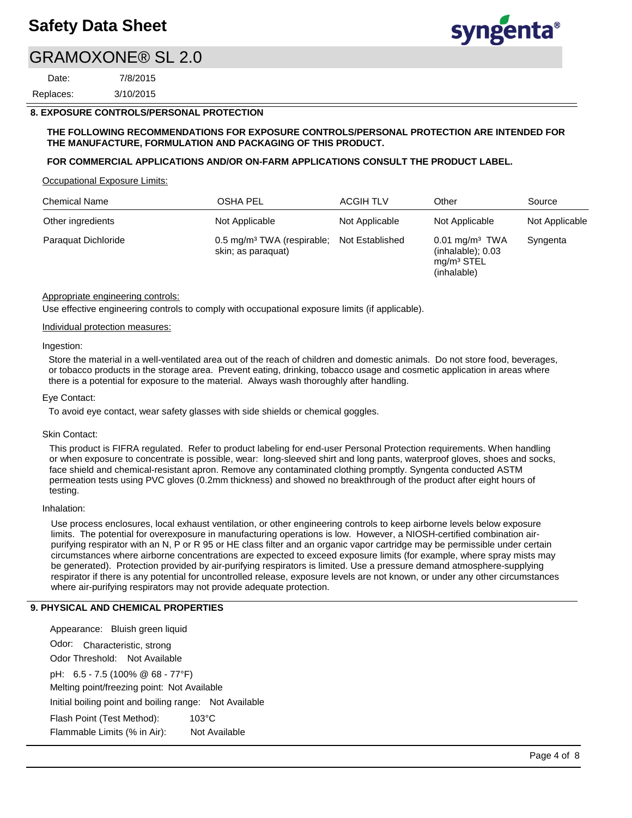# GRAMOXONE® SL 2.0

3/10/2015 7/8/2015 Replaces: Date:

# **8. EXPOSURE CONTROLS/PERSONAL PROTECTION**

## **THE FOLLOWING RECOMMENDATIONS FOR EXPOSURE CONTROLS/PERSONAL PROTECTION ARE INTENDED FOR THE MANUFACTURE, FORMULATION AND PACKAGING OF THIS PRODUCT.**

## **FOR COMMERCIAL APPLICATIONS AND/OR ON-FARM APPLICATIONS CONSULT THE PRODUCT LABEL.**

Occupational Exposure Limits:

| <b>Chemical Name</b> | <b>OSHA PEL</b>                                              | <b>ACGIH TLV</b> | Other                                                                                 | Source         |
|----------------------|--------------------------------------------------------------|------------------|---------------------------------------------------------------------------------------|----------------|
| Other ingredients    | Not Applicable                                               | Not Applicable   | Not Applicable                                                                        | Not Applicable |
| Paraguat Dichloride  | 0.5 mg/m <sup>3</sup> TWA (respirable;<br>skin; as paraguat) | Not Established  | $0.01$ mg/m <sup>3</sup> TWA<br>$(inhalable)$ ; $0.03$<br>$mq/m3$ STEL<br>(inhalable) | Syngenta       |

## Appropriate engineering controls:

Use effective engineering controls to comply with occupational exposure limits (if applicable).

### Individual protection measures:

### Ingestion:

Store the material in a well-ventilated area out of the reach of children and domestic animals. Do not store food, beverages, or tobacco products in the storage area. Prevent eating, drinking, tobacco usage and cosmetic application in areas where there is a potential for exposure to the material. Always wash thoroughly after handling.

### Eye Contact:

To avoid eye contact, wear safety glasses with side shields or chemical goggles.

### Skin Contact:

This product is FIFRA regulated. Refer to product labeling for end-user Personal Protection requirements. When handling or when exposure to concentrate is possible, wear: long-sleeved shirt and long pants, waterproof gloves, shoes and socks, face shield and chemical-resistant apron. Remove any contaminated clothing promptly. Syngenta conducted ASTM permeation tests using PVC gloves (0.2mm thickness) and showed no breakthrough of the product after eight hours of testing.

## Inhalation:

Use process enclosures, local exhaust ventilation, or other engineering controls to keep airborne levels below exposure limits. The potential for overexposure in manufacturing operations is low. However, a NIOSH-certified combination airpurifying respirator with an N, P or R 95 or HE class filter and an organic vapor cartridge may be permissible under certain circumstances where airborne concentrations are expected to exceed exposure limits (for example, where spray mists may be generated). Protection provided by air-purifying respirators is limited. Use a pressure demand atmosphere-supplying respirator if there is any potential for uncontrolled release, exposure levels are not known, or under any other circumstances where air-purifying respirators may not provide adequate protection.

### **9. PHYSICAL AND CHEMICAL PROPERTIES**

Odor: Characteristic, strong Appearance: Bluish green liquid pH: 6.5 - 7.5 (100% @ 68 - 77°F) Initial boiling point and boiling range: Not Available Melting point/freezing point: Not Available Odor Threshold: Not Available Not Available Flash Point (Test Method): 103°C Flammable Limits (% in Air):

syngenta®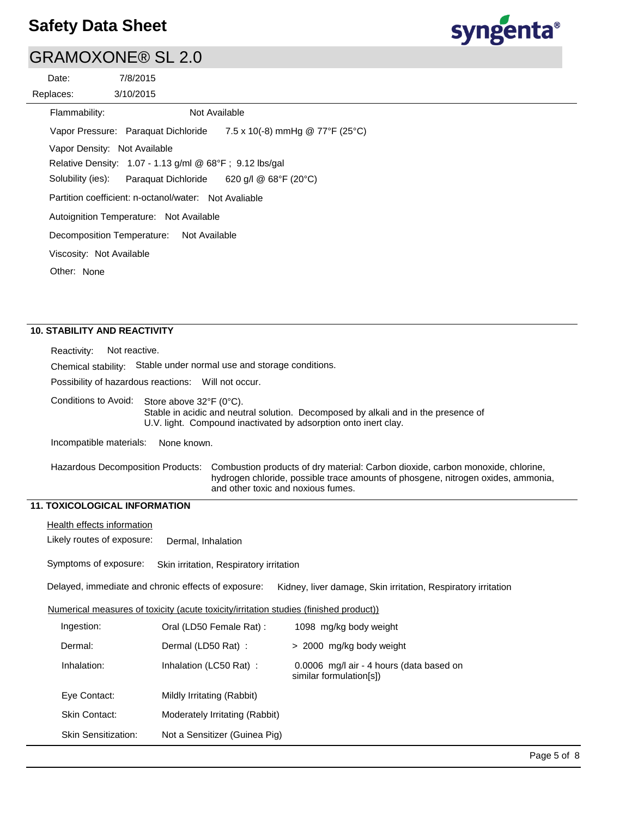

# GRAMOXONE® SL 2.0

|           | Date:                        | 7/8/2015                                                |                                           |
|-----------|------------------------------|---------------------------------------------------------|-------------------------------------------|
| Replaces: |                              | 3/10/2015                                               |                                           |
|           | Flammability:                |                                                         | Not Available                             |
|           |                              | Vapor Pressure: Paraquat Dichloride                     | 7.5 x 10(-8) mmHg @ 77°F (25°C)           |
|           | Vapor Density: Not Available |                                                         |                                           |
|           |                              | Relative Density: 1.07 - 1.13 g/ml @ 68°F; 9.12 lbs/gal |                                           |
|           | Solubility (ies):            |                                                         | Paraquat Dichloride 620 g/l @ 68°F (20°C) |
|           |                              | Partition coefficient: n-octanol/water: Not Avaliable   |                                           |
|           |                              | Autoignition Temperature: Not Available                 |                                           |
|           | Decomposition Temperature:   | Not Available                                           |                                           |
|           | Viscosity: Not Available     |                                                         |                                           |
|           | Other: None                  |                                                         |                                           |
|           |                              |                                                         |                                           |
|           |                              |                                                         |                                           |

# **10. STABILITY AND REACTIVITY**

| Reactivity:<br>Not reactive.                                        |                                                                                                                                                                                                                                                       |                                                                     |  |
|---------------------------------------------------------------------|-------------------------------------------------------------------------------------------------------------------------------------------------------------------------------------------------------------------------------------------------------|---------------------------------------------------------------------|--|
| Chemical stability: Stable under normal use and storage conditions. |                                                                                                                                                                                                                                                       |                                                                     |  |
| Possibility of hazardous reactions: Will not occur.                 |                                                                                                                                                                                                                                                       |                                                                     |  |
|                                                                     | Conditions to Avoid: Store above 32°F (0°C).<br>Stable in acidic and neutral solution. Decomposed by alkali and in the presence of<br>U.V. light. Compound inactivated by adsorption onto inert clay.                                                 |                                                                     |  |
| Incompatible materials:                                             | None known.                                                                                                                                                                                                                                           |                                                                     |  |
|                                                                     | <b>Hazardous Decomposition Products:</b><br>Combustion products of dry material: Carbon dioxide, carbon monoxide, chlorine,<br>hydrogen chloride, possible trace amounts of phosgene, nitrogen oxides, ammonia,<br>and other toxic and noxious fumes. |                                                                     |  |
| <b>11. TOXICOLOGICAL INFORMATION</b>                                |                                                                                                                                                                                                                                                       |                                                                     |  |
| Health effects information                                          |                                                                                                                                                                                                                                                       |                                                                     |  |
| Likely routes of exposure:                                          | Dermal, Inhalation                                                                                                                                                                                                                                    |                                                                     |  |
| Symptoms of exposure:                                               | Skin irritation, Respiratory irritation                                                                                                                                                                                                               |                                                                     |  |
|                                                                     | Delayed, immediate and chronic effects of exposure:                                                                                                                                                                                                   | Kidney, liver damage, Skin irritation, Respiratory irritation       |  |
|                                                                     | Numerical measures of toxicity (acute toxicity/irritation studies (finished product))                                                                                                                                                                 |                                                                     |  |
| Ingestion:                                                          | Oral (LD50 Female Rat) :                                                                                                                                                                                                                              | 1098 mg/kg body weight                                              |  |
| Dermal:                                                             | Dermal (LD50 Rat):                                                                                                                                                                                                                                    | > 2000 mg/kg body weight                                            |  |
| Inhalation:                                                         | Inhalation (LC50 Rat) :                                                                                                                                                                                                                               | 0.0006 mg/l air - 4 hours (data based on<br>similar formulation[s]) |  |
| Eye Contact:                                                        | Mildly Irritating (Rabbit)                                                                                                                                                                                                                            |                                                                     |  |
| <b>Skin Contact:</b>                                                | Moderately Irritating (Rabbit)                                                                                                                                                                                                                        |                                                                     |  |
| <b>Skin Sensitization:</b>                                          | Not a Sensitizer (Guinea Pig)                                                                                                                                                                                                                         |                                                                     |  |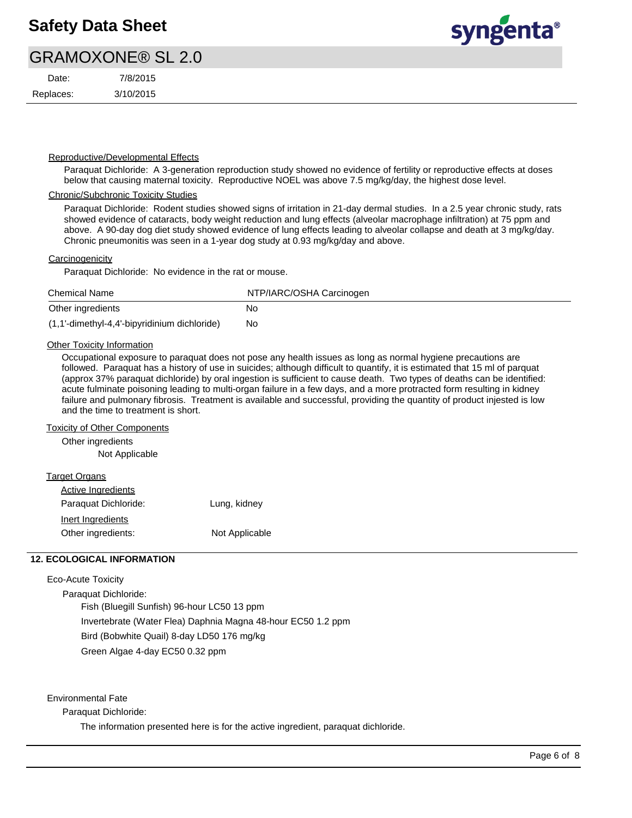# GRAMOXONE® SL 2.0

| Date:     | 7/8/2015  |
|-----------|-----------|
| Replaces: | 3/10/2015 |



## Reproductive/Developmental Effects

Paraquat Dichloride: A 3-generation reproduction study showed no evidence of fertility or reproductive effects at doses below that causing maternal toxicity. Reproductive NOEL was above 7.5 mg/kg/day, the highest dose level.

## Chronic/Subchronic Toxicity Studies

Paraquat Dichloride: Rodent studies showed signs of irritation in 21-day dermal studies. In a 2.5 year chronic study, rats showed evidence of cataracts, body weight reduction and lung effects (alveolar macrophage infiltration) at 75 ppm and above. A 90-day dog diet study showed evidence of lung effects leading to alveolar collapse and death at 3 mg/kg/day. Chronic pneumonitis was seen in a 1-year dog study at 0.93 mg/kg/day and above.

### **Carcinogenicity**

Paraquat Dichloride: No evidence in the rat or mouse.

| <b>Chemical Name</b>                           | NTP/IARC/OSHA Carcinogen |
|------------------------------------------------|--------------------------|
| Other ingredients                              | No                       |
| $(1,1'-dimethyl-4,4'-bipyridinium dichloride)$ | No                       |

## **Other Toxicity Information**

Occupational exposure to paraquat does not pose any health issues as long as normal hygiene precautions are followed. Paraquat has a history of use in suicides; although difficult to quantify, it is estimated that 15 ml of parquat (approx 37% paraquat dichloride) by oral ingestion is sufficient to cause death. Two types of deaths can be identified: acute fulminate poisoning leading to multi-organ failure in a few days, and a more protracted form resulting in kidney failure and pulmonary fibrosis. Treatment is available and successful, providing the quantity of product injested is low and the time to treatment is short.

### Toxicity of Other Components

Other ingredients

Not Applicable

| Target Organs             |                |
|---------------------------|----------------|
| <b>Active Ingredients</b> |                |
| Paraguat Dichloride:      | Lung, kidney   |
| Inert Ingredients         |                |
| Other ingredients:        | Not Applicable |

## **12. ECOLOGICAL INFORMATION**

### Eco-Acute Toxicity

Paraquat Dichloride: Fish (Bluegill Sunfish) 96-hour LC50 13 ppm Invertebrate (Water Flea) Daphnia Magna 48-hour EC50 1.2 ppm Bird (Bobwhite Quail) 8-day LD50 176 mg/kg Green Algae 4-day EC50 0.32 ppm

Environmental Fate

Paraquat Dichloride:

The information presented here is for the active ingredient, paraquat dichloride.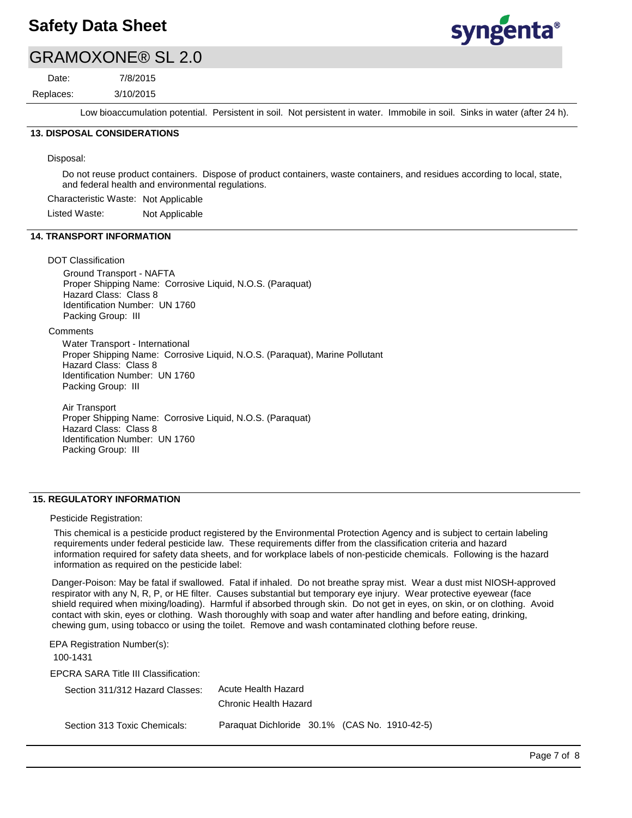

# GRAMOXONE® SL 2.0

Replaces: Date:

3/10/2015 7/8/2015

Low bioaccumulation potential. Persistent in soil. Not persistent in water. Immobile in soil. Sinks in water (after 24 h).

# **13. DISPOSAL CONSIDERATIONS**

Disposal:

Do not reuse product containers. Dispose of product containers, waste containers, and residues according to local, state, and federal health and environmental regulations.

Characteristic Waste: Not Applicable

Listed Waste: Not Applicable

## **14. TRANSPORT INFORMATION**

### DOT Classification

Ground Transport - NAFTA Proper Shipping Name: Corrosive Liquid, N.O.S. (Paraquat) Hazard Class: Class 8 Identification Number: UN 1760 Packing Group: III

**Comments** 

Water Transport - International Proper Shipping Name: Corrosive Liquid, N.O.S. (Paraquat), Marine Pollutant Hazard Class: Class 8 Identification Number: UN 1760 Packing Group: III

Air Transport Proper Shipping Name: Corrosive Liquid, N.O.S. (Paraquat) Hazard Class: Class 8 Identification Number: UN 1760 Packing Group: III

## **15. REGULATORY INFORMATION**

### Pesticide Registration:

This chemical is a pesticide product registered by the Environmental Protection Agency and is subject to certain labeling requirements under federal pesticide law. These requirements differ from the classification criteria and hazard information required for safety data sheets, and for workplace labels of non-pesticide chemicals. Following is the hazard information as required on the pesticide label:

Danger-Poison: May be fatal if swallowed. Fatal if inhaled. Do not breathe spray mist. Wear a dust mist NIOSH-approved respirator with any N, R, P, or HE filter. Causes substantial but temporary eye injury. Wear protective eyewear (face shield required when mixing/loading). Harmful if absorbed through skin. Do not get in eyes, on skin, or on clothing. Avoid contact with skin, eyes or clothing. Wash thoroughly with soap and water after handling and before eating, drinking, chewing gum, using tobacco or using the toilet. Remove and wash contaminated clothing before reuse.

| EPA Registration Number(s):<br>100-1431 |                                               |  |  |
|-----------------------------------------|-----------------------------------------------|--|--|
| EPCRA SARA Title III Classification:    |                                               |  |  |
| Section 311/312 Hazard Classes:         | Acute Health Hazard                           |  |  |
|                                         | Chronic Health Hazard                         |  |  |
| Section 313 Toxic Chemicals:            | Paraguat Dichloride 30.1% (CAS No. 1910-42-5) |  |  |